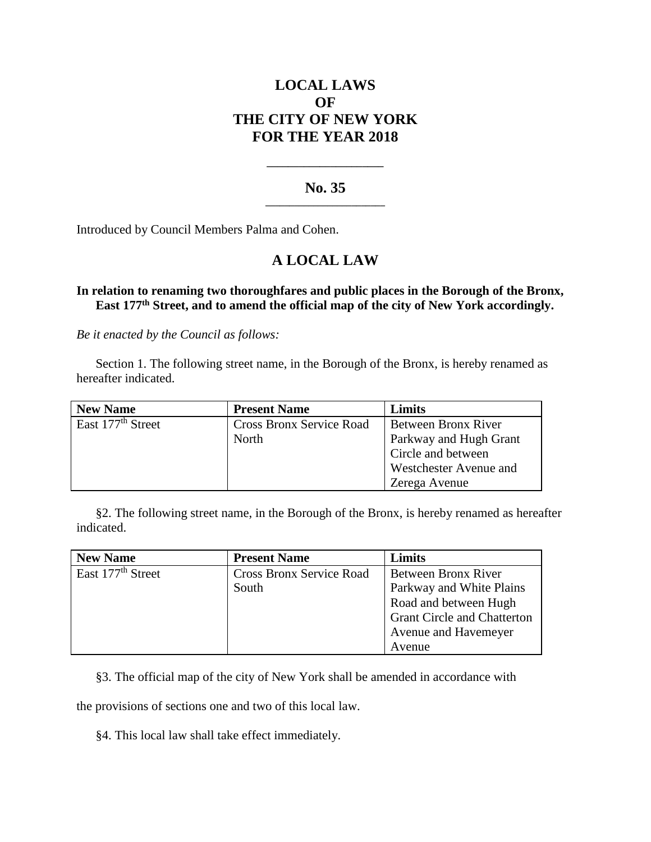# **LOCAL LAWS OF THE CITY OF NEW YORK FOR THE YEAR 2018**

## **No. 35 \_\_\_\_\_\_\_\_\_\_\_\_\_\_\_\_\_\_\_\_\_\_\_\_\_**

**\_\_\_\_\_\_\_\_\_\_\_\_\_\_\_\_\_\_\_\_\_\_**

Introduced by Council Members Palma and Cohen.

## **A LOCAL LAW**

## **In relation to renaming two thoroughfares and public places in the Borough of the Bronx, East 177th Street, and to amend the official map of the city of New York accordingly.**

*Be it enacted by the Council as follows:*

Section 1. The following street name, in the Borough of the Bronx, is hereby renamed as hereafter indicated.

| <b>New Name</b>               | <b>Present Name</b>             | Limits                 |
|-------------------------------|---------------------------------|------------------------|
| East 177 <sup>th</sup> Street | <b>Cross Bronx Service Road</b> | Between Bronx River    |
|                               | <b>North</b>                    | Parkway and Hugh Grant |
|                               |                                 | Circle and between     |
|                               |                                 | Westchester Avenue and |
|                               |                                 | Zerega Avenue          |

§2. The following street name, in the Borough of the Bronx, is hereby renamed as hereafter indicated.

| <b>New Name</b>               | <b>Present Name</b>             | Limits                             |
|-------------------------------|---------------------------------|------------------------------------|
| East 177 <sup>th</sup> Street | <b>Cross Bronx Service Road</b> | Between Bronx River                |
|                               | South                           | Parkway and White Plains           |
|                               |                                 | Road and between Hugh              |
|                               |                                 | <b>Grant Circle and Chatterton</b> |
|                               |                                 | Avenue and Havemeyer               |
|                               |                                 | Avenue                             |

§3. The official map of the city of New York shall be amended in accordance with

the provisions of sections one and two of this local law.

### §4. This local law shall take effect immediately.